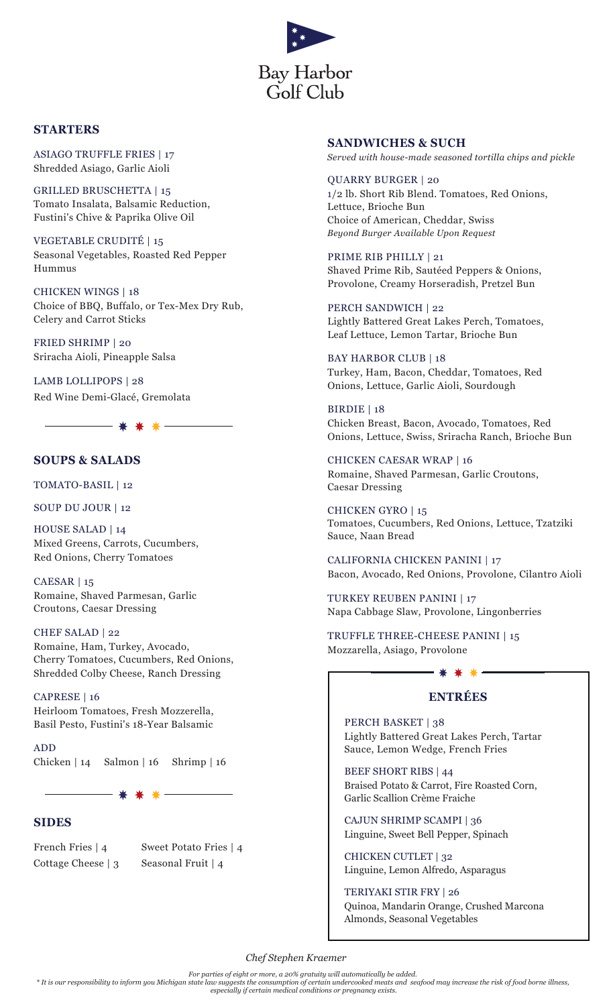

## **STARTERS**

ASIAGO TRUFFLE FRIES | 17 Shredded Asiago, Garlic Aioli

GRILLED BRUSCHETTA | 15 Tomato Insalata, Balsamic Reduction, Fustini's Chive & Paprika Olive Oil

VEGETABLE CRUDITÉ | 15 Seasonal Vegetables, Roasted Red Pepper Hummus

CHICKEN WINGS | 18 Choice of BBQ, Buffalo, or Tex-Mex Dry Rub, Celery and Carrot Sticks

FRIED SHRIMP | 20 Sriracha Aioli, Pineapple Salsa

LAMB LOLLIPOPS | 28 Red Wine Demi-Glacé, Gremolata

## **SOUPS & SALADS**

TOMATO-BASIL | 12

SOUP DU JOUR | 12

HOUSE SALAD | 14 Mixed Greens, Carrots, Cucumbers, Red Onions, Cherry Tomatoes

CAESAR | 15 Romaine, Shaved Parmesan, Garlic Croutons, Caesar Dressing

### CHEF SALAD | 22

Romaine, Ham, Turkey, Avocado, Cherry Tomatoes, Cucumbers, Red Onions, Shredded Colby Cheese, Ranch Dressing

CAPRESE | 16 Heirloom Tomatoes, Fresh Mozzerella, Basil Pesto, Fustini's 18-Year Balsamic

ADD Chicken | 14 Salmon | 16 Shrimp | 16

- \* \* \* -

### **SIDES**

French Fries | 4 Sweet Potato Fries | 4 Cottage Cheese | 3 Seasonal Fruit | 4

### **SANDWICHES & SUCH**

*Served with house-made seasoned tortilla chips and pickle*

## QUARRY BURGER | 20 1/2 lb. Short Rib Blend. Tomatoes, Red Onions, Lettuce, Brioche Bun

Choice of American, Cheddar, Swiss *Beyond Burger Available Upon Request* 

PRIME RIB PHILLY | 21 Shaved Prime Rib, Sautéed Peppers & Onions, Provolone, Creamy Horseradish, Pretzel Bun

PERCH SANDWICH | 22 Lightly Battered Great Lakes Perch, Tomatoes, Leaf Lettuce, Lemon Tartar, Brioche Bun

BAY HARBOR CLUB | 18 Turkey, Ham, Bacon, Cheddar, Tomatoes, Red Onions, Lettuce, Garlic Aioli, Sourdough

BIRDIE | 18 Chicken Breast, Bacon, Avocado, Tomatoes, Red Onions, Lettuce, Swiss, Sriracha Ranch, Brioche Bun

CHICKEN CAESAR WRAP | 16 Romaine, Shaved Parmesan, Garlic Croutons, Caesar Dressing

CHICKEN GYRO | 15 Tomatoes, Cucumbers, Red Onions, Lettuce, Tzatziki Sauce, Naan Bread

CALIFORNIA CHICKEN PANINI | 17 Bacon, Avocado, Red Onions, Provolone, Cilantro Aioli

TURKEY REUBEN PANINI | 17 Napa Cabbage Slaw, Provolone, Lingonberries

TRUFFLE THREE-CHEESE PANINI | 15 Mozzarella, Asiago, Provolone

# **ENTRÉES**

\* \* \* -

PERCH BASKET | 38 Lightly Battered Great Lakes Perch, Tartar Sauce, Lemon Wedge, French Fries

BEEF SHORT RIBS | 44 Braised Potato & Carrot, Fire Roasted Corn, Garlic Scallion Crème Fraiche

CAJUN SHRIMP SCAMPI | 36 Linguine, Sweet Bell Pepper, Spinach

CHICKEN CUTLET | 32 Linguine, Lemon Alfredo, Asparagus

TERIYAKI STIR FRY | 26 Quinoa, Mandarin Orange, Crushed Marcona Almonds, Seasonal Vegetables

*Chef Stephen Kraemer*

*For parties of eight or more, a 20% gratuity will automatically be added.*

*\* It is our responsibility to inform you Michigan state law suggests the consumption of certain undercooked meats and seafood may increase the risk of food borne illness, especially if certain medical conditions or pregnancy exists.*